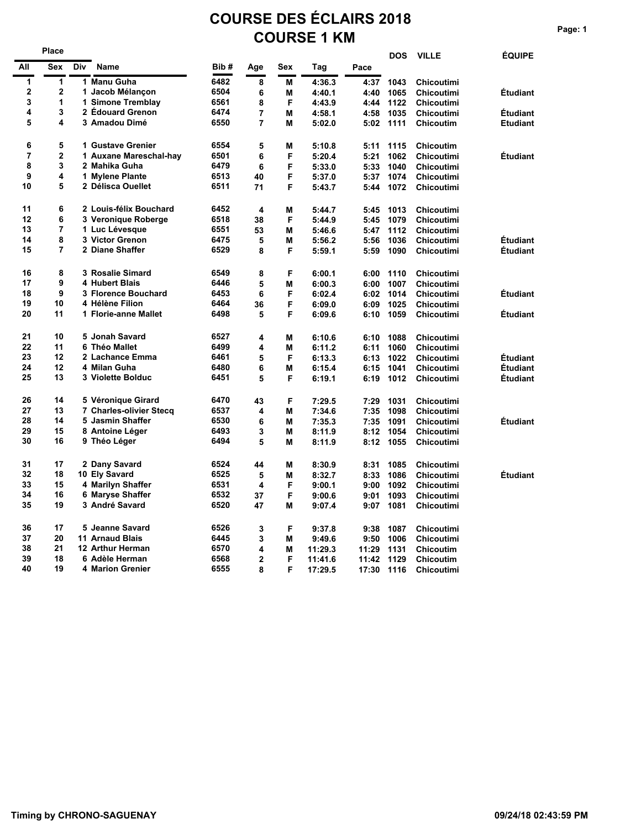# **COURSE DES ÉCLAIRS 2018 COURSE 1 KM** Page: 1

|             | Place                   |     |                         |      |                |     |         |       | <b>DOS</b> | <b>VILLE</b>      | <b>ÉQUIPE</b>   |
|-------------|-------------------------|-----|-------------------------|------|----------------|-----|---------|-------|------------|-------------------|-----------------|
| All         | Sex                     | Div | <b>Name</b>             | Bib# | Age            | Sex | Tag     | Pace  |            |                   |                 |
| 1           | 1                       |     | 1 Manu Guha             | 6482 | 8              | М   | 4:36.3  | 4:37  | 1043       | <b>Chicoutimi</b> |                 |
| $\mathbf 2$ | $\overline{2}$          |     | 1 Jacob Mélançon        | 6504 | 6              | М   | 4:40.1  | 4:40  | 1065       | <b>Chicoutimi</b> | <b>Étudiant</b> |
| 3           | 1                       |     | 1 Simone Tremblay       | 6561 | 8              | F   | 4:43.9  | 4:44  | 1122       | <b>Chicoutimi</b> |                 |
| 4           | 3                       |     | 2 Édouard Grenon        | 6474 | $\overline{7}$ | M   | 4:58.1  | 4:58  | 1035       | <b>Chicoutimi</b> | <b>Étudiant</b> |
| 5           | 4                       |     | 3 Amadou Dimé           | 6550 | 7              | м   | 5:02.0  | 5:02  | 1111       | Chicoutim         | <b>Etudiant</b> |
| 6           | 5                       |     | 1 Gustave Grenier       | 6554 | 5              | M   | 5:10.8  | 5:11  | 1115       | Chicoutim         |                 |
| 7           | $\overline{\mathbf{c}}$ |     | 1 Auxane Mareschal-hay  | 6501 | 6              | F   | 5:20.4  | 5:21  | 1062       | <b>Chicoutimi</b> | <b>Étudiant</b> |
| 8           | 3                       |     | 2 Mahika Guha           | 6479 | 6              | F   | 5:33.0  | 5:33  | 1040       | <b>Chicoutimi</b> |                 |
| 9           | 4                       |     | 1 Mylene Plante         | 6513 | 40             | F   | 5:37.0  | 5:37  | 1074       | <b>Chicoutimi</b> |                 |
| 10          | 5                       |     | 2 Délisca Ouellet       | 6511 | 71             | F   | 5:43.7  | 5:44  | 1072       | <b>Chicoutimi</b> |                 |
| 11          | 6                       |     | 2 Louis-félix Bouchard  | 6452 | 4              | M   | 5:44.7  | 5:45  | 1013       | <b>Chicoutimi</b> |                 |
| 12          | 6                       |     | 3 Veronique Roberge     | 6518 | 38             | F   | 5:44.9  | 5:45  | 1079       | <b>Chicoutimi</b> |                 |
| 13          | 7                       |     | 1 Luc Lévesque          | 6551 | 53             | М   | 5:46.6  | 5:47  | 1112       | <b>Chicoutimi</b> |                 |
| 14          | 8                       |     | 3 Victor Grenon         | 6475 | 5              | М   | 5:56.2  | 5:56  | 1036       | <b>Chicoutimi</b> | Étudiant        |
| 15          | $\overline{7}$          |     | 2 Diane Shaffer         | 6529 | 8              | F   | 5:59.1  | 5:59  | 1090       | <b>Chicoutimi</b> | <b>Étudiant</b> |
| 16          | 8                       |     | 3 Rosalie Simard        | 6549 | 8              | F   | 6:00.1  | 6:00  | 1110       | <b>Chicoutimi</b> |                 |
| 17          | 9                       |     | 4 Hubert Blais          | 6446 | 5              | М   | 6:00.3  | 6:00  | 1007       | <b>Chicoutimi</b> |                 |
| 18          | 9                       |     | 3 Florence Bouchard     | 6453 | 6              | F   | 6:02.4  | 6:02  | 1014       | <b>Chicoutimi</b> | <b>Étudiant</b> |
| 19          | 10                      |     | 4 Hélène Filion         | 6464 | 36             | F   | 6:09.0  | 6:09  | 1025       | <b>Chicoutimi</b> |                 |
| 20          | 11                      |     | 1 Florie-anne Mallet    | 6498 | 5              | F   | 6:09.6  | 6:10  | 1059       | <b>Chicoutimi</b> | <b>Étudiant</b> |
| 21          | 10                      |     | 5 Jonah Savard          | 6527 | 4              | М   | 6:10.6  | 6:10  | 1088       | <b>Chicoutimi</b> |                 |
| 22          | 11                      |     | 6 Théo Mallet           | 6499 | 4              | М   | 6:11.2  | 6:11  | 1060       | <b>Chicoutimi</b> |                 |
| 23          | 12                      |     | 2 Lachance Emma         | 6461 | 5              | F   | 6:13.3  | 6:13  | 1022       | <b>Chicoutimi</b> | <b>Étudiant</b> |
| 24          | 12                      |     | 4 Milan Guha            | 6480 | 6              | М   | 6:15.4  | 6:15  | 1041       | <b>Chicoutimi</b> | Étudiant        |
| 25          | 13                      |     | 3 Violette Bolduc       | 6451 | 5              | F   | 6:19.1  | 6:19  | 1012       | <b>Chicoutimi</b> | <b>Étudiant</b> |
| 26          | 14                      |     | 5 Véronique Girard      | 6470 | 43             | F   | 7:29.5  | 7:29  | 1031       | Chicoutimi        |                 |
| 27          | 13                      |     | 7 Charles-olivier Stecq | 6537 | 4              | М   | 7:34.6  | 7:35  | 1098       | <b>Chicoutimi</b> |                 |
| 28          | 14                      |     | 5 Jasmin Shaffer        | 6530 | 6              | М   | 7:35.3  | 7:35  | 1091       | <b>Chicoutimi</b> | <b>Étudiant</b> |
| 29          | 15                      |     | 8 Antoine Léger         | 6493 | 3              | M   | 8:11.9  | 8:12  | 1054       | <b>Chicoutimi</b> |                 |
| 30          | 16                      |     | 9 Théo Léger            | 6494 | 5              | М   | 8:11.9  | 8:12  | 1055       | <b>Chicoutimi</b> |                 |
| 31          | 17                      |     | 2 Dany Savard           | 6524 | 44             | М   | 8:30.9  | 8:31  | 1085       | <b>Chicoutimi</b> |                 |
| 32          | 18                      |     | 10 Ely Savard           | 6525 | 5              | M   | 8:32.7  | 8:33  | 1086       | <b>Chicoutimi</b> | Étudiant        |
| 33          | 15                      |     | 4 Marilyn Shaffer       | 6531 | 4              | F   | 9:00.1  | 9:00  | 1092       | <b>Chicoutimi</b> |                 |
| 34          | 16                      |     | 6 Maryse Shaffer        | 6532 | 37             | F   | 9:00.6  | 9:01  | 1093       | <b>Chicoutimi</b> |                 |
| 35          | 19                      |     | 3 André Savard          | 6520 | 47             | М   | 9:07.4  | 9:07  | 1081       | <b>Chicoutimi</b> |                 |
| 36          | 17                      |     | 5 Jeanne Savard         | 6526 | 3              | F   | 9:37.8  | 9:38  | 1087       | Chicoutimi        |                 |
| 37          | 20                      |     | <b>11 Arnaud Blais</b>  | 6445 | 3              | М   | 9:49.6  | 9:50  | 1006       | <b>Chicoutimi</b> |                 |
| 38          | 21                      |     | <b>12 Arthur Herman</b> | 6570 | 4              | М   | 11:29.3 | 11:29 | 1131       | <b>Chicoutim</b>  |                 |
| 39          | 18                      |     | 6 Adèle Herman          | 6568 | 2              | F   | 11:41.6 | 11:42 | 1129       | Chicoutim         |                 |
| 40          | 19                      |     | 4 Marion Grenier        | 6555 | 8              | F   | 17:29.5 | 17:30 | 1116       | <b>Chicoutimi</b> |                 |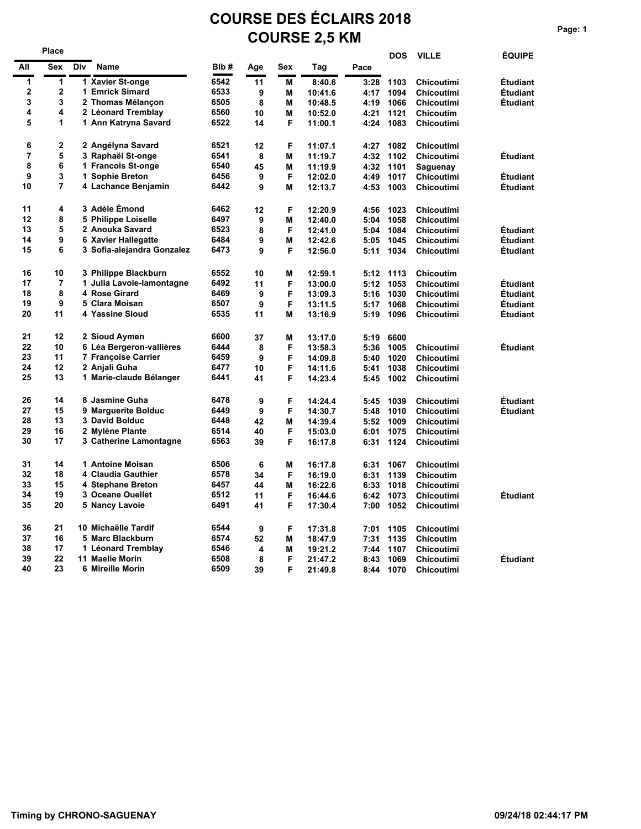# **COURSE DES ÉCLAIRS 2018 COURSE 2,5 KM**

|             | Place       |     |                            |      |         |        |                    |              | <b>DOS</b>   | <b>VILLE</b>                   | <b>ÉQUIPE</b>   |
|-------------|-------------|-----|----------------------------|------|---------|--------|--------------------|--------------|--------------|--------------------------------|-----------------|
| All         | <b>Sex</b>  | Div | <b>Name</b>                | Bib# | Age     | Sex    | Tag                | Pace         |              |                                |                 |
| 1           | 1           |     | 1 Xavier St-onge           | 6542 | 11      | M      | 8:40.6             | 3:28         | 1103         | <b>Chicoutimi</b>              | Étudiant        |
| $\mathbf 2$ | $\mathbf 2$ |     | 1 Emrick Simard            | 6533 | 9       | M      | 10:41.6            | 4:17         | 1094         | Chicoutimi                     | <b>Étudiant</b> |
| 3           | 3           |     | 2 Thomas Mélançon          | 6505 | 8       | M      | 10:48.5            | 4:19         | 1066         | <b>Chicoutimi</b>              | <b>Étudiant</b> |
| 4           | 4           |     | 2 Léonard Tremblay         | 6560 | 10      | M      | 10:52.0            | 4:21         | 1121         | <b>Chicoutim</b>               |                 |
| 5           | 1           |     | 1 Ann Katryna Savard       | 6522 | 14      | F      | 11:00.1            | 4:24         | 1083         | Chicoutimi                     |                 |
| 6           | 2           |     | 2 Angélyna Savard          | 6521 | 12      | F      | 11:07.1            | 4:27         | 1082         | Chicoutimi                     |                 |
| 7           | 5           |     | 3 Raphaël St-onge          | 6541 | 8       | M      | 11:19.7            | 4:32         | 1102         | Chicoutimi                     | <b>Étudiant</b> |
| 8           | 6           |     | 1 Francois St-onge         | 6540 | 45      | M      | 11:19.9            | 4:32         | 1101         | Saguenay                       |                 |
| 9           | 3           |     | 1 Sophie Breton            | 6456 | 9       | F      | 12:02.0            | 4:49         | 1017         | Chicoutimi                     | <b>Étudiant</b> |
| 10          | 7           |     | 4 Lachance Benjamin        | 6442 | 9       | M      | 12:13.7            | 4:53         | 1003         | <b>Chicoutimi</b>              | <b>Étudiant</b> |
| 11          | 4           |     | 3 Adèle Émond              | 6462 | 12      | F      | 12:20.9            | 4:56         | 1023         | <b>Chicoutimi</b>              |                 |
| 12          | 8           |     | 5 Philippe Loiselle        | 6497 | 9       | M      | 12:40.0            | 5:04         | 1058         | <b>Chicoutimi</b>              |                 |
| 13          | 5           |     | 2 Anouka Savard            | 6523 | 8       | F      | 12:41.0            | 5:04         | 1084         | <b>Chicoutimi</b>              | <b>Étudiant</b> |
| 14          | 9           |     | <b>6 Xavier Hallegatte</b> | 6484 | 9       | M      | 12:42.6            | 5:05         | 1045         | Chicoutimi                     | <b>Étudiant</b> |
| 15          | 6           |     | 3 Sofia-alejandra Gonzalez | 6473 | 9       | F      | 12:56.0            | 5:11         | 1034         | Chicoutimi                     | <b>Etudiant</b> |
| 16          | 10          |     | 3 Philippe Blackburn       | 6552 | 10      | M      | 12:59.1            | 5:12         | 1113         | <b>Chicoutim</b>               |                 |
| 17          | 7           |     | 1 Julia Lavoie-lamontagne  | 6492 | 11      | F      | 13:00.0            | 5:12         | 1053         | <b>Chicoutimi</b>              | <b>Étudiant</b> |
| 18          | 8           |     | 4 Rose Girard              | 6469 | 9       | F      | 13:09.3            | 5:16         | 1030         | <b>Chicoutimi</b>              | <b>Étudiant</b> |
| 19          | 9           |     | 5 Clara Moisan             | 6507 | 9       | F      | 13:11.5            | 5:17         | 1068         | Chicoutimi                     | <b>Etudiant</b> |
| 20          | 11          |     | 4 Yassine Sioud            | 6535 | 11      | M      | 13:16.9            | 5:19         | 1096         | Chicoutimi                     | <b>Etudiant</b> |
| 21          | 12          |     | 2 Sioud Aymen              | 6600 | 37      | M      | 13:17.0            | 5:19         | 6600         |                                |                 |
| 22          | 10          |     | 6 Léa Bergeron-vallières   | 6444 | 8       | F      | 13:58.3            | 5:36         | 1005         | <b>Chicoutimi</b>              | <b>Étudiant</b> |
| 23          | 11          |     | 7 Françoise Carrier        | 6459 | 9       | F      | 14:09.8            | 5:40         | 1020         | <b>Chicoutimi</b>              |                 |
| 24          | 12          |     | 2 Anjali Guha              | 6477 | 10      | F      | 14:11.6            | 5:41         | 1038         | Chicoutimi                     |                 |
| 25          | 13          |     | 1 Marie-claude Bélanger    | 6441 | 41      | F      | 14:23.4            | 5:45         | 1002         | <b>Chicoutimi</b>              |                 |
| 26          | 14          |     | 8 Jasmine Guha             | 6478 | 9       | F      | 14:24.4            | 5:45         | 1039         | <b>Chicoutimi</b>              | Étudiant        |
| 27          | 15          |     | 9 Marguerite Bolduc        | 6449 | 9       | F      | 14:30.7            | 5:48         | 1010         | <b>Chicoutimi</b>              | Étudiant        |
| 28          | 13          |     | 3 David Bolduc             | 6448 | 42      | M      | 14:39.4            | 5:52         | 1009         | <b>Chicoutimi</b>              |                 |
| 29          | 16          |     | 2 Mylène Plante            | 6514 | 40      | F      | 15:03.0            | 6:01         | 1075         | Chicoutimi                     |                 |
| 30          | 17          |     | 3 Catherine Lamontagne     | 6563 | 39      | F      | 16:17.8            | 6:31         | 1124         | <b>Chicoutimi</b>              |                 |
| 31          | 14          |     | 1 Antoine Moisan           | 6506 | 6       | M      | 16:17.8            | 6:31         | 1067         | Chicoutimi                     |                 |
| 32          | 18          |     | 4 Claudia Gauthier         | 6578 | 34      | F      | 16:19.0            | 6:31         | 1139         | <b>Chicoutim</b>               |                 |
| 33          | 15          |     | 4 Stephane Breton          | 6457 | 44      | M      | 16:22.6            | 6:33         | 1018         | <b>Chicoutimi</b>              |                 |
| 34          | 19          |     | 3 Oceane Ouellet           | 6512 | 11      | F      | 16:44.6            | 6:42         | 1073         | Chicoutimi                     | <b>Étudiant</b> |
| 35          | 20          |     | 5 Nancy Lavoie             | 6491 | 41      | F      | 17:30.4            | 7:00         | 1052         | <b>Chicoutimi</b>              |                 |
| 36          | 21          |     | 10 Michaëlle Tardif        | 6544 |         |        |                    |              |              |                                |                 |
| 37          | 16          |     | 5 Marc Blackburn           | 6574 | 9<br>52 | F<br>M | 17:31.8            | 7:01         | 1105         | <b>Chicoutimi</b>              |                 |
| 38          | 17          |     | 1 Léonard Tremblay         | 6546 | 4       | M      | 18:47.9<br>19:21.2 | 7:31         | 1135<br>1107 | <b>Chicoutim</b><br>Chicoutimi |                 |
| 39          | 22          |     | 11 Maelie Morin            | 6508 | 8       | F      | 21:47.2            | 7:44<br>8:43 | 1069         | Chicoutimi                     | Étudiant        |
| 40          | 23          |     | 6 Mireille Morin           | 6509 | 39      | F      | 21:49.8            | 8:44         | 1070         | <b>Chicoutimi</b>              |                 |
|             |             |     |                            |      |         |        |                    |              |              |                                |                 |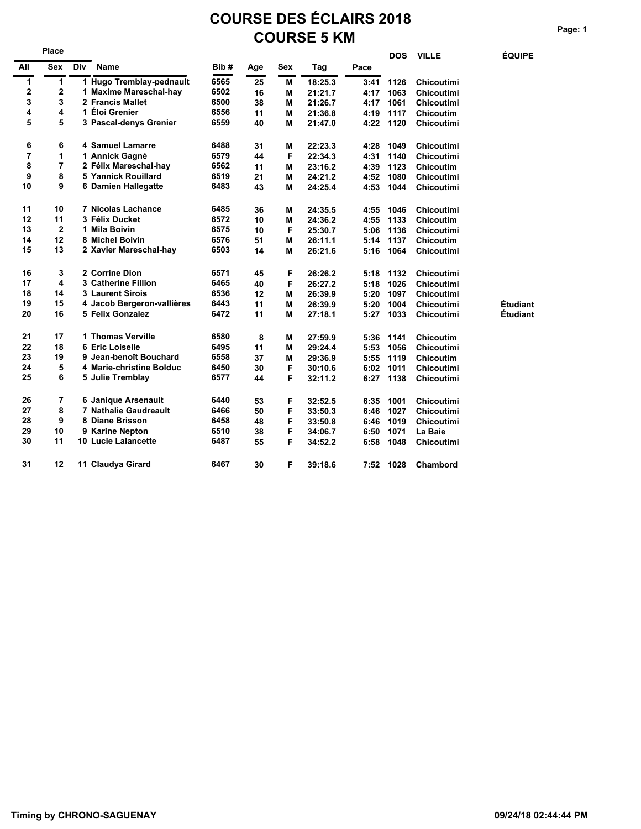# **COURSE DES ÉCLAIRS 2018 COURSE 5 KM** Page: 1

|                | Place                   |     |                              |      |     |     |         |      | <b>DOS</b> | <b>VILLE</b>      | <b>ÉQUIPE</b> |
|----------------|-------------------------|-----|------------------------------|------|-----|-----|---------|------|------------|-------------------|---------------|
| All            | <b>Sex</b>              | Div | Name                         | Bib# | Age | Sex | Tag     | Pace |            |                   |               |
| 1              | 1                       |     | 1 Hugo Tremblay-pednault     | 6565 | 25  | M   | 18:25.3 | 3:41 | 1126       | <b>Chicoutimi</b> |               |
| 2              | 2                       |     | 1 Maxime Mareschal-hay       | 6502 | 16  | М   | 21:21.7 | 4:17 | 1063       | <b>Chicoutimi</b> |               |
| 3              | 3                       |     | 2 Francis Mallet             | 6500 | 38  | М   | 21:26.7 | 4:17 | 1061       | <b>Chicoutimi</b> |               |
| 4              | 4                       |     | 1 Eloi Grenier               | 6556 | 11  | M   | 21:36.8 | 4:19 | 1117       | <b>Chicoutim</b>  |               |
| 5              | 5                       |     | 3 Pascal-denys Grenier       | 6559 | 40  | М   | 21:47.0 | 4:22 | 1120       | <b>Chicoutimi</b> |               |
| 6              | 6                       |     | 4 Samuel Lamarre             | 6488 | 31  | M   | 22:23.3 | 4:28 | 1049       | <b>Chicoutimi</b> |               |
| $\overline{7}$ | 1                       |     | 1 Annick Gagné               | 6579 | 44  | F   | 22:34.3 | 4:31 | 1140       | <b>Chicoutimi</b> |               |
| 8              | 7                       |     | 2 Félix Mareschal-hay        | 6562 | 11  | М   | 23:16.2 | 4:39 | 1123       | <b>Chicoutim</b>  |               |
| 9              | 8                       |     | <b>5 Yannick Rouillard</b>   | 6519 | 21  | M   | 24:21.2 | 4:52 | 1080       | <b>Chicoutimi</b> |               |
| 10             | 9                       |     | 6 Damien Hallegatte          | 6483 | 43  | M   | 24:25.4 | 4:53 | 1044       | <b>Chicoutimi</b> |               |
| 11             | 10                      |     | <b>7 Nicolas Lachance</b>    | 6485 | 36  | M   | 24:35.5 | 4:55 | 1046       | <b>Chicoutimi</b> |               |
| 12             | 11                      |     | 3 Félix Ducket               | 6572 | 10  | M   | 24:36.2 | 4:55 | 1133       | <b>Chicoutim</b>  |               |
| 13             | $\mathbf 2$             |     | 1 Mila Boivin                | 6575 | 10  | F   | 25:30.7 | 5:06 | 1136       | Chicoutimi        |               |
| 14             | 12                      |     | 8 Michel Boivin              | 6576 | 51  | М   | 26:11.1 | 5:14 | 1137       | <b>Chicoutim</b>  |               |
| 15             | 13                      |     | 2 Xavier Mareschal-hay       | 6503 | 14  | M   | 26:21.6 | 5:16 | 1064       | <b>Chicoutimi</b> |               |
| 16             | 3                       |     | 2 Corrine Dion               | 6571 | 45  | F   | 26:26.2 | 5:18 | 1132       | <b>Chicoutimi</b> |               |
| 17             | $\overline{\mathbf{4}}$ |     | <b>3 Catherine Fillion</b>   | 6465 | 40  | F   | 26:27.2 | 5:18 | 1026       | <b>Chicoutimi</b> |               |
| 18             | 14                      |     | <b>3 Laurent Sirois</b>      | 6536 | 12  | М   | 26:39.9 | 5:20 | 1097       | Chicoutimi        |               |
| 19             | 15                      |     | 4 Jacob Bergeron-vallières   | 6443 | 11  | M   | 26:39.9 | 5:20 | 1004       | Chicoutimi        | Etudiant      |
| 20             | 16                      |     | 5 Felix Gonzalez             | 6472 | 11  | M   | 27:18.1 | 5:27 | 1033       | <b>Chicoutimi</b> | Étudiant      |
| 21             | 17                      |     | 1 Thomas Verville            | 6580 | 8   | M   | 27:59.9 | 5:36 | 1141       | <b>Chicoutim</b>  |               |
| 22             | 18                      |     | 6 Eric Loiselle              | 6495 | 11  | M   | 29:24.4 | 5:53 | 1056       | <b>Chicoutimi</b> |               |
| 23             | 19                      |     | 9 Jean-benoît Bouchard       | 6558 | 37  | М   | 29:36.9 | 5:55 | 1119       | <b>Chicoutim</b>  |               |
| 24             | 5                       |     | 4 Marie-christine Bolduc     | 6450 | 30  | F   | 30:10.6 | 6:02 | 1011       | <b>Chicoutimi</b> |               |
| 25             | 6                       |     | 5 Julie Tremblay             | 6577 | 44  | F   | 32:11.2 | 6:27 | 1138       | <b>Chicoutimi</b> |               |
| 26             | 7                       |     | 6 Janique Arsenault          | 6440 | 53  | F   | 32:52.5 | 6:35 | 1001       | <b>Chicoutimi</b> |               |
| 27             | 8                       |     | <b>7 Nathalie Gaudreault</b> | 6466 | 50  | F   | 33:50.3 | 6:46 | 1027       | <b>Chicoutimi</b> |               |
| 28             | 9                       |     | 8 Diane Brisson              | 6458 | 48  | F   | 33:50.8 | 6:46 | 1019       | <b>Chicoutimi</b> |               |
| 29             | 10                      |     | 9 Karine Nepton              | 6510 | 38  | F   | 34:06.7 | 6:50 | 1071       | La Baie           |               |
| 30             | 11                      |     | <b>10 Lucie Lalancette</b>   | 6487 | 55  | F   | 34:52.2 | 6:58 | 1048       | <b>Chicoutimi</b> |               |
| 31             | 12                      |     | 11 Claudya Girard            | 6467 | 30  | F   | 39:18.6 |      | 7:52 1028  | Chambord          |               |

**ÉQUIPE** 

Étudiant<br>Étudiant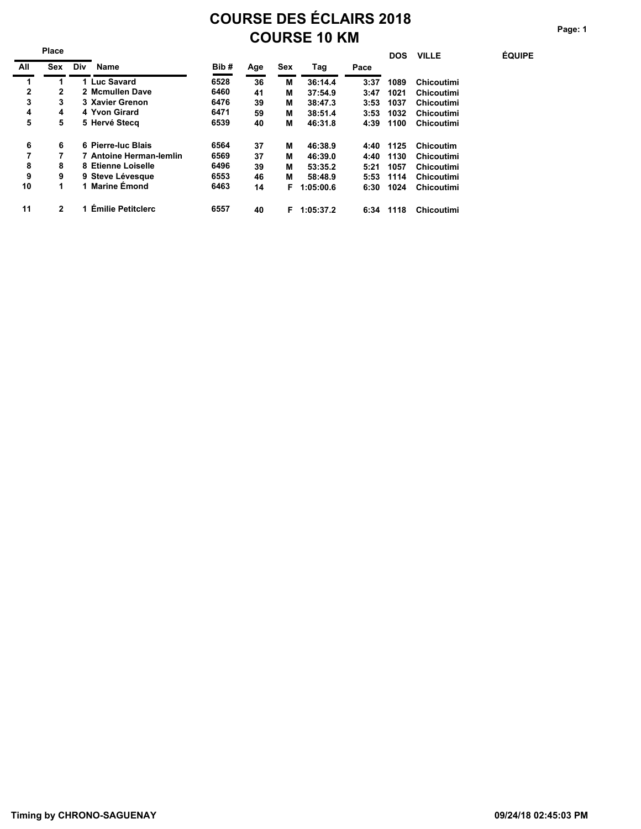## **COURSE DES ÉCLAIRS 2018 COURSE 10 KM** Page: 1

 **DOS VILLE ÉQUIPE**

|     | Place          |     |                          |      |     |            |           |      | <b>DOS</b> | <b>VILLE</b> |
|-----|----------------|-----|--------------------------|------|-----|------------|-----------|------|------------|--------------|
| All | <b>Sex</b>     | Div | <b>Name</b>              | Bib# | Age | <b>Sex</b> | Tag       | Pace |            |              |
| 1   | 1              |     | 1 Luc Savard             | 6528 | 36  | М          | 36:14.4   | 3:37 | 1089       | Chicoutimi   |
| 2   | 2              |     | 2 Mcmullen Dave          | 6460 | 41  | М          | 37:54.9   | 3:47 | 1021       | Chicoutimi   |
| 3   | 3              |     | 3 Xavier Grenon          | 6476 | 39  | М          | 38:47.3   | 3:53 | 1037       | Chicoutimi   |
| 4   | 4              |     | 4 Yvon Girard            | 6471 | 59  | М          | 38:51.4   | 3:53 | 1032       | Chicoutimi   |
| 5   | 5              |     | 5 Hervé Stecq            | 6539 | 40  | М          | 46:31.8   | 4:39 | 1100       | Chicoutimi   |
| 6   | 6              |     | 6 Pierre-luc Blais       | 6564 | 37  | М          | 46:38.9   | 4:40 | 1125       | Chicoutim    |
| 7   | 7              |     | 7 Antoine Herman-lemlin  | 6569 | 37  | м          | 46:39.0   | 4:40 | 1130       | Chicoutimi   |
| 8   | 8              |     | 8 Etienne Loiselle       | 6496 | 39  | М          | 53:35.2   | 5:21 | 1057       | Chicoutimi   |
| 9   | 9              |     | 9 Steve Lévesque         | 6553 | 46  | М          | 58:48.9   | 5:53 | 1114       | Chicoutimi   |
| 10  | 1              |     | 1 Marine Emond           | 6463 | 14  | F          | 1:05:00.6 | 6:30 | 1024       | Chicoutimi   |
| 11  | $\overline{2}$ |     | <b>Emilie Petitclerc</b> | 6557 | 40  | F          | 1:05:37.2 | 6:34 | 1118       | Chicoutimi   |